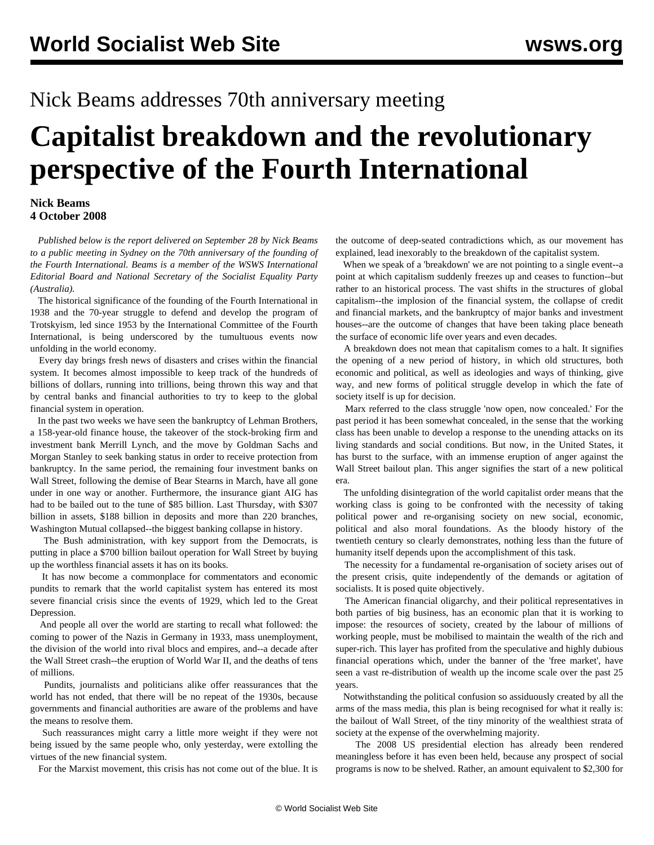# Nick Beams addresses 70th anniversary meeting

# **Capitalist breakdown and the revolutionary perspective of the Fourth International**

## **Nick Beams 4 October 2008**

 *Published below is the report delivered on September 28 by Nick Beams to a public meeting in Sydney on the 70th anniversary of the founding of the Fourth International. Beams is a member of the WSWS International Editorial Board and National Secretary of the Socialist Equality Party (Australia).*

 The historical significance of the founding of the Fourth International in 1938 and the 70-year struggle to defend and develop the program of Trotskyism, led since 1953 by the International Committee of the Fourth International, is being underscored by the tumultuous events now unfolding in the world economy.

 Every day brings fresh news of disasters and crises within the financial system. It becomes almost impossible to keep track of the hundreds of billions of dollars, running into trillions, being thrown this way and that by central banks and financial authorities to try to keep to the global financial system in operation.

 In the past two weeks we have seen the bankruptcy of Lehman Brothers, a 158-year-old finance house, the takeover of the stock-broking firm and investment bank Merrill Lynch, and the move by Goldman Sachs and Morgan Stanley to seek banking status in order to receive protection from bankruptcy. In the same period, the remaining four investment banks on Wall Street, following the demise of Bear Stearns in March, have all gone under in one way or another. Furthermore, the insurance giant AIG has had to be bailed out to the tune of \$85 billion. Last Thursday, with \$307 billion in assets, \$188 billion in deposits and more than 220 branches, Washington Mutual collapsed--the biggest banking collapse in history.

 The Bush administration, with key support from the Democrats, is putting in place a \$700 billion bailout operation for Wall Street by buying up the worthless financial assets it has on its books.

 It has now become a commonplace for commentators and economic pundits to remark that the world capitalist system has entered its most severe financial crisis since the events of 1929, which led to the Great Depression.

 And people all over the world are starting to recall what followed: the coming to power of the Nazis in Germany in 1933, mass unemployment, the division of the world into rival blocs and empires, and--a decade after the Wall Street crash--the eruption of World War II, and the deaths of tens of millions.

 Pundits, journalists and politicians alike offer reassurances that the world has not ended, that there will be no repeat of the 1930s, because governments and financial authorities are aware of the problems and have the means to resolve them.

 Such reassurances might carry a little more weight if they were not being issued by the same people who, only yesterday, were extolling the virtues of the new financial system.

For the Marxist movement, this crisis has not come out of the blue. It is

the outcome of deep-seated contradictions which, as our movement has explained, lead inexorably to the breakdown of the capitalist system.

 When we speak of a 'breakdown' we are not pointing to a single event--a point at which capitalism suddenly freezes up and ceases to function--but rather to an historical process. The vast shifts in the structures of global capitalism--the implosion of the financial system, the collapse of credit and financial markets, and the bankruptcy of major banks and investment houses--are the outcome of changes that have been taking place beneath the surface of economic life over years and even decades.

 A breakdown does not mean that capitalism comes to a halt. It signifies the opening of a new period of history, in which old structures, both economic and political, as well as ideologies and ways of thinking, give way, and new forms of political struggle develop in which the fate of society itself is up for decision.

 Marx referred to the class struggle 'now open, now concealed.' For the past period it has been somewhat concealed, in the sense that the working class has been unable to develop a response to the unending attacks on its living standards and social conditions. But now, in the United States, it has burst to the surface, with an immense eruption of anger against the Wall Street bailout plan. This anger signifies the start of a new political era.

 The unfolding disintegration of the world capitalist order means that the working class is going to be confronted with the necessity of taking political power and re-organising society on new social, economic, political and also moral foundations. As the bloody history of the twentieth century so clearly demonstrates, nothing less than the future of humanity itself depends upon the accomplishment of this task.

 The necessity for a fundamental re-organisation of society arises out of the present crisis, quite independently of the demands or agitation of socialists. It is posed quite objectively.

 The American financial oligarchy, and their political representatives in both parties of big business, has an economic plan that it is working to impose: the resources of society, created by the labour of millions of working people, must be mobilised to maintain the wealth of the rich and super-rich. This layer has profited from the speculative and highly dubious financial operations which, under the banner of the 'free market', have seen a vast re-distribution of wealth up the income scale over the past 25 years.

 Notwithstanding the political confusion so assiduously created by all the arms of the mass media, this plan is being recognised for what it really is: the bailout of Wall Street, of the tiny minority of the wealthiest strata of society at the expense of the overwhelming majority.

 The 2008 US presidential election has already been rendered meaningless before it has even been held, because any prospect of social programs is now to be shelved. Rather, an amount equivalent to \$2,300 for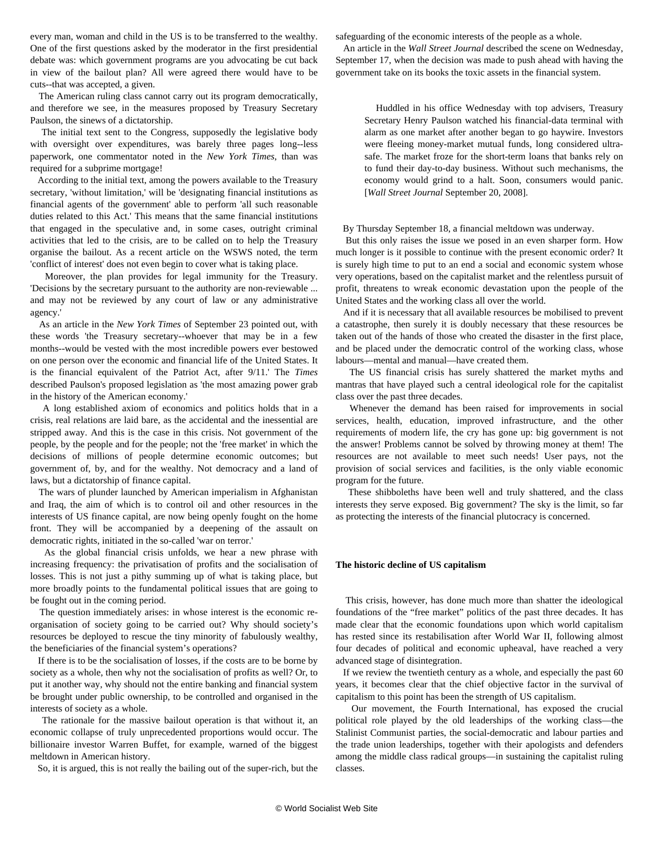every man, woman and child in the US is to be transferred to the wealthy. One of the first questions asked by the moderator in the first presidential debate was: which government programs are you advocating be cut back in view of the bailout plan? All were agreed there would have to be cuts--that was accepted, a given.

 The American ruling class cannot carry out its program democratically, and therefore we see, in the measures proposed by Treasury Secretary Paulson, the sinews of a dictatorship.

 The initial text sent to the Congress, supposedly the legislative body with oversight over expenditures, was barely three pages long--less paperwork, one commentator noted in the *New York Times*, than was required for a subprime mortgage!

 According to the initial text, among the powers available to the Treasury secretary, 'without limitation,' will be 'designating financial institutions as financial agents of the government' able to perform 'all such reasonable duties related to this Act.' This means that the same financial institutions that engaged in the speculative and, in some cases, outright criminal activities that led to the crisis, are to be called on to help the Treasury organise the bailout. As a recent article on the WSWS noted, the term 'conflict of interest' does not even begin to cover what is taking place.

 Moreover, the plan provides for legal immunity for the Treasury. 'Decisions by the secretary pursuant to the authority are non-reviewable ... and may not be reviewed by any court of law or any administrative agency.'

 As an article in the *New York Times* of September 23 pointed out, with these words 'the Treasury secretary--whoever that may be in a few months--would be vested with the most incredible powers ever bestowed on one person over the economic and financial life of the United States. It is the financial equivalent of the Patriot Act, after 9/11.' The *Times* described Paulson's proposed legislation as 'the most amazing power grab in the history of the American economy.'

 A long established axiom of economics and politics holds that in a crisis, real relations are laid bare, as the accidental and the inessential are stripped away. And this is the case in this crisis. Not government of the people, by the people and for the people; not the 'free market' in which the decisions of millions of people determine economic outcomes; but government of, by, and for the wealthy. Not democracy and a land of laws, but a dictatorship of finance capital.

 The wars of plunder launched by American imperialism in Afghanistan and Iraq, the aim of which is to control oil and other resources in the interests of US finance capital, are now being openly fought on the home front. They will be accompanied by a deepening of the assault on democratic rights, initiated in the so-called 'war on terror.'

 As the global financial crisis unfolds, we hear a new phrase with increasing frequency: the privatisation of profits and the socialisation of losses. This is not just a pithy summing up of what is taking place, but more broadly points to the fundamental political issues that are going to be fought out in the coming period.

 The question immediately arises: in whose interest is the economic reorganisation of society going to be carried out? Why should society's resources be deployed to rescue the tiny minority of fabulously wealthy, the beneficiaries of the financial system's operations?

 If there is to be the socialisation of losses, if the costs are to be borne by society as a whole, then why not the socialisation of profits as well? Or, to put it another way, why should not the entire banking and financial system be brought under public ownership, to be controlled and organised in the interests of society as a whole.

 The rationale for the massive bailout operation is that without it, an economic collapse of truly unprecedented proportions would occur. The billionaire investor Warren Buffet, for example, warned of the biggest meltdown in American history.

So, it is argued, this is not really the bailing out of the super-rich, but the

safeguarding of the economic interests of the people as a whole.

 An article in the *Wall Street Journal* described the scene on Wednesday, September 17, when the decision was made to push ahead with having the government take on its books the toxic assets in the financial system.

 Huddled in his office Wednesday with top advisers, Treasury Secretary Henry Paulson watched his financial-data terminal with alarm as one market after another began to go haywire. Investors were fleeing money-market mutual funds, long considered ultrasafe. The market froze for the short-term loans that banks rely on to fund their day-to-day business. Without such mechanisms, the economy would grind to a halt. Soon, consumers would panic. [*Wall Street Journal* September 20, 2008].

By Thursday September 18, a financial meltdown was underway.

 But this only raises the issue we posed in an even sharper form. How much longer is it possible to continue with the present economic order? It is surely high time to put to an end a social and economic system whose very operations, based on the capitalist market and the relentless pursuit of profit, threatens to wreak economic devastation upon the people of the United States and the working class all over the world.

 And if it is necessary that all available resources be mobilised to prevent a catastrophe, then surely it is doubly necessary that these resources be taken out of the hands of those who created the disaster in the first place, and be placed under the democratic control of the working class, whose labours—mental and manual—have created them.

 The US financial crisis has surely shattered the market myths and mantras that have played such a central ideological role for the capitalist class over the past three decades.

 Whenever the demand has been raised for improvements in social services, health, education, improved infrastructure, and the other requirements of modern life, the cry has gone up: big government is not the answer! Problems cannot be solved by throwing money at them! The resources are not available to meet such needs! User pays, not the provision of social services and facilities, is the only viable economic program for the future.

 These shibboleths have been well and truly shattered, and the class interests they serve exposed. Big government? The sky is the limit, so far as protecting the interests of the financial plutocracy is concerned.

### **The historic decline of US capitalism**

 This crisis, however, has done much more than shatter the ideological foundations of the "free market" politics of the past three decades. It has made clear that the economic foundations upon which world capitalism has rested since its restabilisation after World War II, following almost four decades of political and economic upheaval, have reached a very advanced stage of disintegration.

 If we review the twentieth century as a whole, and especially the past 60 years, it becomes clear that the chief objective factor in the survival of capitalism to this point has been the strength of US capitalism.

 Our movement, the Fourth International, has exposed the crucial political role played by the old leaderships of the working class—the Stalinist Communist parties, the social-democratic and labour parties and the trade union leaderships, together with their apologists and defenders among the middle class radical groups—in sustaining the capitalist ruling classes.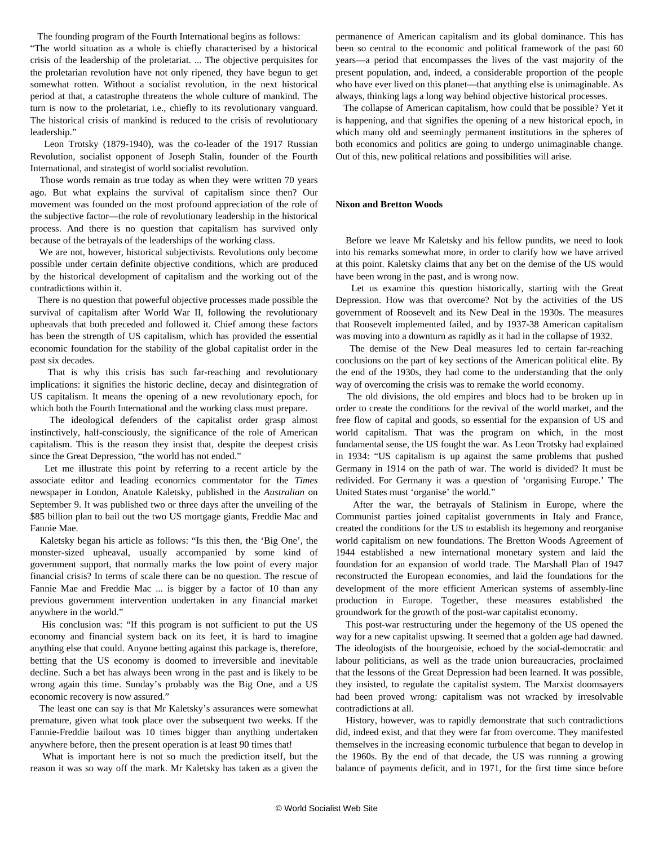The founding program of the Fourth International begins as follows: "The world situation as a whole is chiefly characterised by a historical crisis of the leadership of the proletariat. ... The objective perquisites for the proletarian revolution have not only ripened, they have begun to get somewhat rotten. Without a socialist revolution, in the next historical period at that, a catastrophe threatens the whole culture of mankind. The turn is now to the proletariat, i.e., chiefly to its revolutionary vanguard. The historical crisis of mankind is reduced to the crisis of revolutionary leadership."

 Leon Trotsky (1879-1940), was the co-leader of the 1917 Russian Revolution, socialist opponent of Joseph Stalin, founder of the Fourth International, and strategist of world socialist revolution.

 Those words remain as true today as when they were written 70 years ago. But what explains the survival of capitalism since then? Our movement was founded on the most profound appreciation of the role of the subjective factor—the role of revolutionary leadership in the historical process. And there is no question that capitalism has survived only because of the betrayals of the leaderships of the working class.

 We are not, however, historical subjectivists. Revolutions only become possible under certain definite objective conditions, which are produced by the historical development of capitalism and the working out of the contradictions within it.

 There is no question that powerful objective processes made possible the survival of capitalism after World War II, following the revolutionary upheavals that both preceded and followed it. Chief among these factors has been the strength of US capitalism, which has provided the essential economic foundation for the stability of the global capitalist order in the past six decades.

 That is why this crisis has such far-reaching and revolutionary implications: it signifies the historic decline, decay and disintegration of US capitalism. It means the opening of a new revolutionary epoch, for which both the Fourth International and the working class must prepare.

 The ideological defenders of the capitalist order grasp almost instinctively, half-consciously, the significance of the role of American capitalism. This is the reason they insist that, despite the deepest crisis since the Great Depression, "the world has not ended."

 Let me illustrate this point by referring to a recent article by the associate editor and leading economics commentator for the *Times* newspaper in London, Anatole Kaletsky, published in the *Australian* on September 9. It was published two or three days after the unveiling of the \$85 billion plan to bail out the two US mortgage giants, Freddie Mac and Fannie Mae.

 Kaletsky began his article as follows: "Is this then, the 'Big One', the monster-sized upheaval, usually accompanied by some kind of government support, that normally marks the low point of every major financial crisis? In terms of scale there can be no question. The rescue of Fannie Mae and Freddie Mac ... is bigger by a factor of 10 than any previous government intervention undertaken in any financial market anywhere in the world."

 His conclusion was: "If this program is not sufficient to put the US economy and financial system back on its feet, it is hard to imagine anything else that could. Anyone betting against this package is, therefore, betting that the US economy is doomed to irreversible and inevitable decline. Such a bet has always been wrong in the past and is likely to be wrong again this time. Sunday's probably was the Big One, and a US economic recovery is now assured."

 The least one can say is that Mr Kaletsky's assurances were somewhat premature, given what took place over the subsequent two weeks. If the Fannie-Freddie bailout was 10 times bigger than anything undertaken anywhere before, then the present operation is at least 90 times that!

 What is important here is not so much the prediction itself, but the reason it was so way off the mark. Mr Kaletsky has taken as a given the

permanence of American capitalism and its global dominance. This has been so central to the economic and political framework of the past 60 years—a period that encompasses the lives of the vast majority of the present population, and, indeed, a considerable proportion of the people who have ever lived on this planet—that anything else is unimaginable. As always, thinking lags a long way behind objective historical processes.

 The collapse of American capitalism, how could that be possible? Yet it is happening, and that signifies the opening of a new historical epoch, in which many old and seemingly permanent institutions in the spheres of both economics and politics are going to undergo unimaginable change. Out of this, new political relations and possibilities will arise.

#### **Nixon and Bretton Woods**

 Before we leave Mr Kaletsky and his fellow pundits, we need to look into his remarks somewhat more, in order to clarify how we have arrived at this point. Kaletsky claims that any bet on the demise of the US would have been wrong in the past, and is wrong now.

 Let us examine this question historically, starting with the Great Depression. How was that overcome? Not by the activities of the US government of Roosevelt and its New Deal in the 1930s. The measures that Roosevelt implemented failed, and by 1937-38 American capitalism was moving into a downturn as rapidly as it had in the collapse of 1932.

 The demise of the New Deal measures led to certain far-reaching conclusions on the part of key sections of the American political elite. By the end of the 1930s, they had come to the understanding that the only way of overcoming the crisis was to remake the world economy.

 The old divisions, the old empires and blocs had to be broken up in order to create the conditions for the revival of the world market, and the free flow of capital and goods, so essential for the expansion of US and world capitalism. That was the program on which, in the most fundamental sense, the US fought the war. As Leon Trotsky had explained in 1934: "US capitalism is up against the same problems that pushed Germany in 1914 on the path of war. The world is divided? It must be redivided. For Germany it was a question of 'organising Europe.' The United States must 'organise' the world."

 After the war, the betrayals of Stalinism in Europe, where the Communist parties joined capitalist governments in Italy and France, created the conditions for the US to establish its hegemony and reorganise world capitalism on new foundations. The Bretton Woods Agreement of 1944 established a new international monetary system and laid the foundation for an expansion of world trade. The Marshall Plan of 1947 reconstructed the European economies, and laid the foundations for the development of the more efficient American systems of assembly-line production in Europe. Together, these measures established the groundwork for the growth of the post-war capitalist economy.

 This post-war restructuring under the hegemony of the US opened the way for a new capitalist upswing. It seemed that a golden age had dawned. The ideologists of the bourgeoisie, echoed by the social-democratic and labour politicians, as well as the trade union bureaucracies, proclaimed that the lessons of the Great Depression had been learned. It was possible, they insisted, to regulate the capitalist system. The Marxist doomsayers had been proved wrong: capitalism was not wracked by irresolvable contradictions at all.

 History, however, was to rapidly demonstrate that such contradictions did, indeed exist, and that they were far from overcome. They manifested themselves in the increasing economic turbulence that began to develop in the 1960s. By the end of that decade, the US was running a growing balance of payments deficit, and in 1971, for the first time since before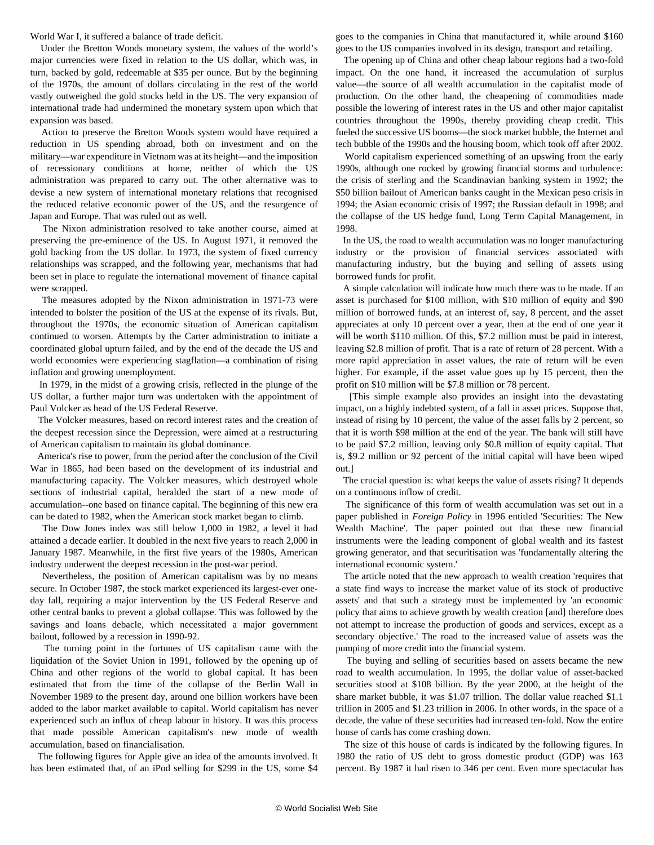World War I, it suffered a balance of trade deficit.

 Under the Bretton Woods monetary system, the values of the world's major currencies were fixed in relation to the US dollar, which was, in turn, backed by gold, redeemable at \$35 per ounce. But by the beginning of the 1970s, the amount of dollars circulating in the rest of the world vastly outweighed the gold stocks held in the US. The very expansion of international trade had undermined the monetary system upon which that expansion was based.

 Action to preserve the Bretton Woods system would have required a reduction in US spending abroad, both on investment and on the military—war expenditure in Vietnam was at its height—and the imposition of recessionary conditions at home, neither of which the US administration was prepared to carry out. The other alternative was to devise a new system of international monetary relations that recognised the reduced relative economic power of the US, and the resurgence of Japan and Europe. That was ruled out as well.

 The Nixon administration resolved to take another course, aimed at preserving the pre-eminence of the US. In August 1971, it removed the gold backing from the US dollar. In 1973, the system of fixed currency relationships was scrapped, and the following year, mechanisms that had been set in place to regulate the international movement of finance capital were scrapped.

 The measures adopted by the Nixon administration in 1971-73 were intended to bolster the position of the US at the expense of its rivals. But, throughout the 1970s, the economic situation of American capitalism continued to worsen. Attempts by the Carter administration to initiate a coordinated global upturn failed, and by the end of the decade the US and world economies were experiencing stagflation—a combination of rising inflation and growing unemployment.

 In 1979, in the midst of a growing crisis, reflected in the plunge of the US dollar, a further major turn was undertaken with the appointment of Paul Volcker as head of the US Federal Reserve.

 The Volcker measures, based on record interest rates and the creation of the deepest recession since the Depression, were aimed at a restructuring of American capitalism to maintain its global dominance.

 America's rise to power, from the period after the conclusion of the Civil War in 1865, had been based on the development of its industrial and manufacturing capacity. The Volcker measures, which destroyed whole sections of industrial capital, heralded the start of a new mode of accumulation--one based on finance capital. The beginning of this new era can be dated to 1982, when the American stock market began to climb.

 The Dow Jones index was still below 1,000 in 1982, a level it had attained a decade earlier. It doubled in the next five years to reach 2,000 in January 1987. Meanwhile, in the first five years of the 1980s, American industry underwent the deepest recession in the post-war period.

 Nevertheless, the position of American capitalism was by no means secure. In October 1987, the stock market experienced its largest-ever oneday fall, requiring a major intervention by the US Federal Reserve and other central banks to prevent a global collapse. This was followed by the savings and loans debacle, which necessitated a major government bailout, followed by a recession in 1990-92.

 The turning point in the fortunes of US capitalism came with the liquidation of the Soviet Union in 1991, followed by the opening up of China and other regions of the world to global capital. It has been estimated that from the time of the collapse of the Berlin Wall in November 1989 to the present day, around one billion workers have been added to the labor market available to capital. World capitalism has never experienced such an influx of cheap labour in history. It was this process that made possible American capitalism's new mode of wealth accumulation, based on financialisation.

 The following figures for Apple give an idea of the amounts involved. It has been estimated that, of an iPod selling for \$299 in the US, some \$4

goes to the companies in China that manufactured it, while around \$160 goes to the US companies involved in its design, transport and retailing.

 The opening up of China and other cheap labour regions had a two-fold impact. On the one hand, it increased the accumulation of surplus value—the source of all wealth accumulation in the capitalist mode of production. On the other hand, the cheapening of commodities made possible the lowering of interest rates in the US and other major capitalist countries throughout the 1990s, thereby providing cheap credit. This fueled the successive US booms—the stock market bubble, the Internet and tech bubble of the 1990s and the housing boom, which took off after 2002.

 World capitalism experienced something of an upswing from the early 1990s, although one rocked by growing financial storms and turbulence: the crisis of sterling and the Scandinavian banking system in 1992; the \$50 billion bailout of American banks caught in the Mexican peso crisis in 1994; the Asian economic crisis of 1997; the Russian default in 1998; and the collapse of the US hedge fund, Long Term Capital Management, in 1998.

 In the US, the road to wealth accumulation was no longer manufacturing industry or the provision of financial services associated with manufacturing industry, but the buying and selling of assets using borrowed funds for profit.

 A simple calculation will indicate how much there was to be made. If an asset is purchased for \$100 million, with \$10 million of equity and \$90 million of borrowed funds, at an interest of, say, 8 percent, and the asset appreciates at only 10 percent over a year, then at the end of one year it will be worth \$110 million. Of this, \$7.2 million must be paid in interest, leaving \$2.8 million of profit. That is a rate of return of 28 percent. With a more rapid appreciation in asset values, the rate of return will be even higher. For example, if the asset value goes up by 15 percent, then the profit on \$10 million will be \$7.8 million or 78 percent.

 [This simple example also provides an insight into the devastating impact, on a highly indebted system, of a fall in asset prices. Suppose that, instead of rising by 10 percent, the value of the asset falls by 2 percent, so that it is worth \$98 million at the end of the year. The bank will still have to be paid \$7.2 million, leaving only \$0.8 million of equity capital. That is, \$9.2 million or 92 percent of the initial capital will have been wiped out.]

 The crucial question is: what keeps the value of assets rising? It depends on a continuous inflow of credit.

 The significance of this form of wealth accumulation was set out in a paper published in *Foreign Policy* in 1996 entitled 'Securities: The New Wealth Machine'. The paper pointed out that these new financial instruments were the leading component of global wealth and its fastest growing generator, and that securitisation was 'fundamentally altering the international economic system.'

 The article noted that the new approach to wealth creation 'requires that a state find ways to increase the market value of its stock of productive assets' and that such a strategy must be implemented by 'an economic policy that aims to achieve growth by wealth creation [and] therefore does not attempt to increase the production of goods and services, except as a secondary objective.' The road to the increased value of assets was the pumping of more credit into the financial system.

 The buying and selling of securities based on assets became the new road to wealth accumulation. In 1995, the dollar value of asset-backed securities stood at \$108 billion. By the year 2000, at the height of the share market bubble, it was \$1.07 trillion. The dollar value reached \$1.1 trillion in 2005 and \$1.23 trillion in 2006. In other words, in the space of a decade, the value of these securities had increased ten-fold. Now the entire house of cards has come crashing down.

 The size of this house of cards is indicated by the following figures. In 1980 the ratio of US debt to gross domestic product (GDP) was 163 percent. By 1987 it had risen to 346 per cent. Even more spectacular has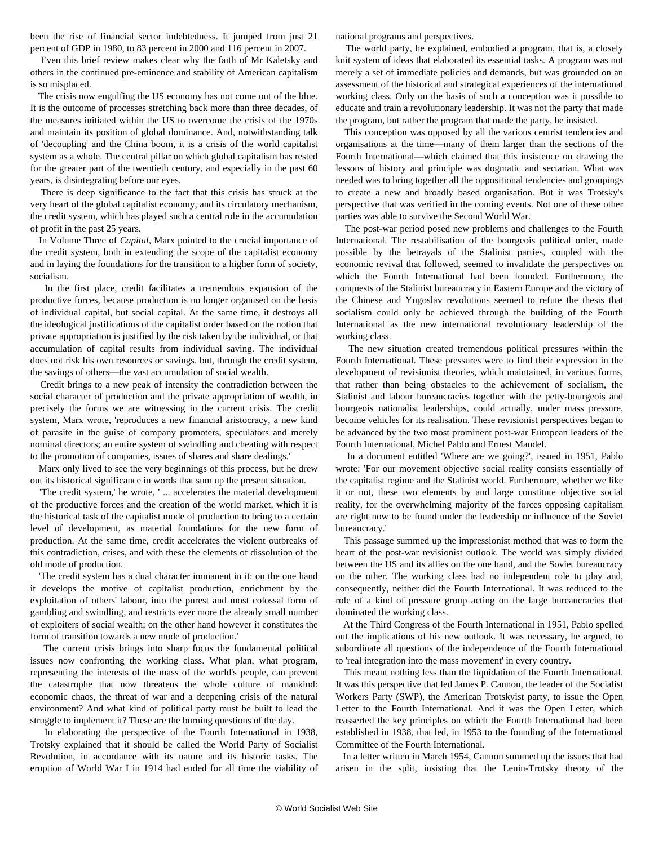been the rise of financial sector indebtedness. It jumped from just 21 percent of GDP in 1980, to 83 percent in 2000 and 116 percent in 2007.

 Even this brief review makes clear why the faith of Mr Kaletsky and others in the continued pre-eminence and stability of American capitalism is so misplaced.

 The crisis now engulfing the US economy has not come out of the blue. It is the outcome of processes stretching back more than three decades, of the measures initiated within the US to overcome the crisis of the 1970s and maintain its position of global dominance. And, notwithstanding talk of 'decoupling' and the China boom, it is a crisis of the world capitalist system as a whole. The central pillar on which global capitalism has rested for the greater part of the twentieth century, and especially in the past 60 years, is disintegrating before our eyes.

 There is deep significance to the fact that this crisis has struck at the very heart of the global capitalist economy, and its circulatory mechanism, the credit system, which has played such a central role in the accumulation of profit in the past 25 years.

 In Volume Three of *Capital,* Marx pointed to the crucial importance of the credit system, both in extending the scope of the capitalist economy and in laying the foundations for the transition to a higher form of society, socialism.

 In the first place, credit facilitates a tremendous expansion of the productive forces, because production is no longer organised on the basis of individual capital, but social capital. At the same time, it destroys all the ideological justifications of the capitalist order based on the notion that private appropriation is justified by the risk taken by the individual, or that accumulation of capital results from individual saving. The individual does not risk his own resources or savings, but, through the credit system, the savings of others—the vast accumulation of social wealth.

 Credit brings to a new peak of intensity the contradiction between the social character of production and the private appropriation of wealth, in precisely the forms we are witnessing in the current crisis. The credit system, Marx wrote, 'reproduces a new financial aristocracy, a new kind of parasite in the guise of company promoters, speculators and merely nominal directors; an entire system of swindling and cheating with respect to the promotion of companies, issues of shares and share dealings.'

 Marx only lived to see the very beginnings of this process, but he drew out its historical significance in words that sum up the present situation.

 'The credit system,' he wrote, ' ... accelerates the material development of the productive forces and the creation of the world market, which it is the historical task of the capitalist mode of production to bring to a certain level of development, as material foundations for the new form of production. At the same time, credit accelerates the violent outbreaks of this contradiction, crises, and with these the elements of dissolution of the old mode of production.

 'The credit system has a dual character immanent in it: on the one hand it develops the motive of capitalist production, enrichment by the exploitation of others' labour, into the purest and most colossal form of gambling and swindling, and restricts ever more the already small number of exploiters of social wealth; on the other hand however it constitutes the form of transition towards a new mode of production.'

 The current crisis brings into sharp focus the fundamental political issues now confronting the working class. What plan, what program, representing the interests of the mass of the world's people, can prevent the catastrophe that now threatens the whole culture of mankind: economic chaos, the threat of war and a deepening crisis of the natural environment? And what kind of political party must be built to lead the struggle to implement it? These are the burning questions of the day.

 In elaborating the perspective of the Fourth International in 1938, Trotsky explained that it should be called the World Party of Socialist Revolution, in accordance with its nature and its historic tasks. The eruption of World War I in 1914 had ended for all time the viability of national programs and perspectives.

 The world party, he explained, embodied a program, that is, a closely knit system of ideas that elaborated its essential tasks. A program was not merely a set of immediate policies and demands, but was grounded on an assessment of the historical and strategical experiences of the international working class. Only on the basis of such a conception was it possible to educate and train a revolutionary leadership. It was not the party that made the program, but rather the program that made the party, he insisted.

 This conception was opposed by all the various centrist tendencies and organisations at the time—many of them larger than the sections of the Fourth International—which claimed that this insistence on drawing the lessons of history and principle was dogmatic and sectarian. What was needed was to bring together all the oppositional tendencies and groupings to create a new and broadly based organisation. But it was Trotsky's perspective that was verified in the coming events. Not one of these other parties was able to survive the Second World War.

 The post-war period posed new problems and challenges to the Fourth International. The restabilisation of the bourgeois political order, made possible by the betrayals of the Stalinist parties, coupled with the economic revival that followed, seemed to invalidate the perspectives on which the Fourth International had been founded. Furthermore, the conquests of the Stalinist bureaucracy in Eastern Europe and the victory of the Chinese and Yugoslav revolutions seemed to refute the thesis that socialism could only be achieved through the building of the Fourth International as the new international revolutionary leadership of the working class.

 The new situation created tremendous political pressures within the Fourth International. These pressures were to find their expression in the development of revisionist theories, which maintained, in various forms, that rather than being obstacles to the achievement of socialism, the Stalinist and labour bureaucracies together with the petty-bourgeois and bourgeois nationalist leaderships, could actually, under mass pressure, become vehicles for its realisation. These revisionist perspectives began to be advanced by the two most prominent post-war European leaders of the Fourth International, Michel Pablo and Ernest Mandel.

 In a document entitled 'Where are we going?', issued in 1951, Pablo wrote: 'For our movement objective social reality consists essentially of the capitalist regime and the Stalinist world. Furthermore, whether we like it or not, these two elements by and large constitute objective social reality, for the overwhelming majority of the forces opposing capitalism are right now to be found under the leadership or influence of the Soviet bureaucracy.'

 This passage summed up the impressionist method that was to form the heart of the post-war revisionist outlook. The world was simply divided between the US and its allies on the one hand, and the Soviet bureaucracy on the other. The working class had no independent role to play and, consequently, neither did the Fourth International. It was reduced to the role of a kind of pressure group acting on the large bureaucracies that dominated the working class.

 At the Third Congress of the Fourth International in 1951, Pablo spelled out the implications of his new outlook. It was necessary, he argued, to subordinate all questions of the independence of the Fourth International to 'real integration into the mass movement' in every country.

 This meant nothing less than the liquidation of the Fourth International. It was this perspective that led James P. Cannon, the leader of the Socialist Workers Party (SWP), the American Trotskyist party, to issue the Open Letter to the Fourth International. And it was the Open Letter, which reasserted the key principles on which the Fourth International had been established in 1938, that led, in 1953 to the founding of the International Committee of the Fourth International.

 In a letter written in March 1954, Cannon summed up the issues that had arisen in the split, insisting that the Lenin-Trotsky theory of the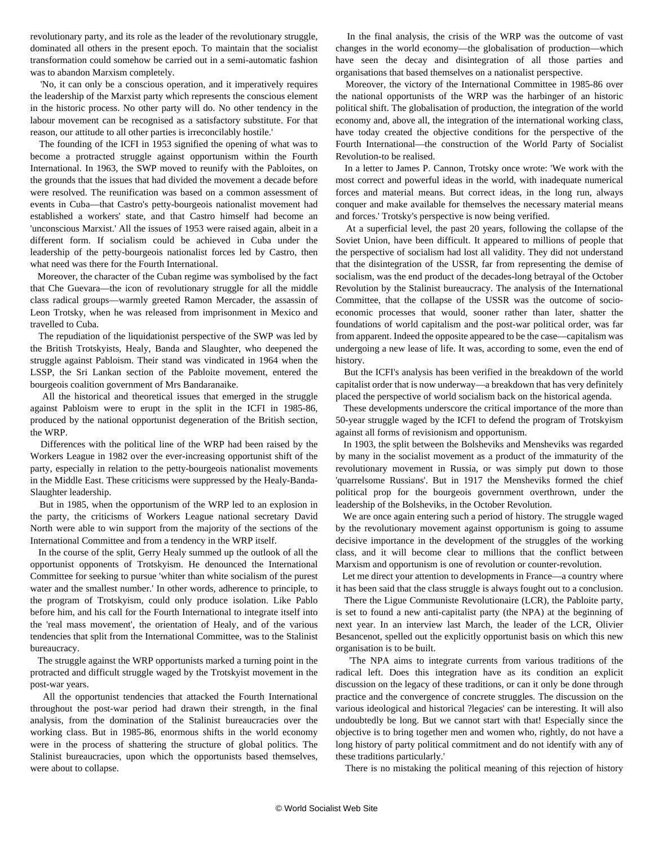revolutionary party, and its role as the leader of the revolutionary struggle, dominated all others in the present epoch. To maintain that the socialist transformation could somehow be carried out in a semi-automatic fashion was to abandon Marxism completely.

 'No, it can only be a conscious operation, and it imperatively requires the leadership of the Marxist party which represents the conscious element in the historic process. No other party will do. No other tendency in the labour movement can be recognised as a satisfactory substitute. For that reason, our attitude to all other parties is irreconcilably hostile.'

 The founding of the ICFI in 1953 signified the opening of what was to become a protracted struggle against opportunism within the Fourth International. In 1963, the SWP moved to reunify with the Pabloites, on the grounds that the issues that had divided the movement a decade before were resolved. The reunification was based on a common assessment of events in Cuba—that Castro's petty-bourgeois nationalist movement had established a workers' state, and that Castro himself had become an 'unconscious Marxist.' All the issues of 1953 were raised again, albeit in a different form. If socialism could be achieved in Cuba under the leadership of the petty-bourgeois nationalist forces led by Castro, then what need was there for the Fourth International.

 Moreover, the character of the Cuban regime was symbolised by the fact that Che Guevara—the icon of revolutionary struggle for all the middle class radical groups—warmly greeted Ramon Mercader, the assassin of Leon Trotsky, when he was released from imprisonment in Mexico and travelled to Cuba.

 The repudiation of the liquidationist perspective of the SWP was led by the British Trotskyists, Healy, Banda and Slaughter, who deepened the struggle against Pabloism. Their stand was vindicated in 1964 when the LSSP, the Sri Lankan section of the Pabloite movement, entered the bourgeois coalition government of Mrs Bandaranaike.

 All the historical and theoretical issues that emerged in the struggle against Pabloism were to erupt in the split in the ICFI in 1985-86, produced by the national opportunist degeneration of the British section, the WRP.

 Differences with the political line of the WRP had been raised by the Workers League in 1982 over the ever-increasing opportunist shift of the party, especially in relation to the petty-bourgeois nationalist movements in the Middle East. These criticisms were suppressed by the Healy-Banda-Slaughter leadership.

 But in 1985, when the opportunism of the WRP led to an explosion in the party, the criticisms of Workers League national secretary David North were able to win support from the majority of the sections of the International Committee and from a tendency in the WRP itself.

 In the course of the split, Gerry Healy summed up the outlook of all the opportunist opponents of Trotskyism. He denounced the International Committee for seeking to pursue 'whiter than white socialism of the purest water and the smallest number.' In other words, adherence to principle, to the program of Trotskyism, could only produce isolation. Like Pablo before him, and his call for the Fourth International to integrate itself into the 'real mass movement', the orientation of Healy, and of the various tendencies that split from the International Committee, was to the Stalinist bureaucracy.

 The struggle against the WRP opportunists marked a turning point in the protracted and difficult struggle waged by the Trotskyist movement in the post-war years.

 All the opportunist tendencies that attacked the Fourth International throughout the post-war period had drawn their strength, in the final analysis, from the domination of the Stalinist bureaucracies over the working class. But in 1985-86, enormous shifts in the world economy were in the process of shattering the structure of global politics. The Stalinist bureaucracies, upon which the opportunists based themselves, were about to collapse.

 In the final analysis, the crisis of the WRP was the outcome of vast changes in the world economy—the globalisation of production—which have seen the decay and disintegration of all those parties and organisations that based themselves on a nationalist perspective.

 Moreover, the victory of the International Committee in 1985-86 over the national opportunists of the WRP was the harbinger of an historic political shift. The globalisation of production, the integration of the world economy and, above all, the integration of the international working class, have today created the objective conditions for the perspective of the Fourth International—the construction of the World Party of Socialist Revolution-to be realised.

 In a letter to James P. Cannon, Trotsky once wrote: 'We work with the most correct and powerful ideas in the world, with inadequate numerical forces and material means. But correct ideas, in the long run, always conquer and make available for themselves the necessary material means and forces.' Trotsky's perspective is now being verified.

 At a superficial level, the past 20 years, following the collapse of the Soviet Union, have been difficult. It appeared to millions of people that the perspective of socialism had lost all validity. They did not understand that the disintegration of the USSR, far from representing the demise of socialism, was the end product of the decades-long betrayal of the October Revolution by the Stalinist bureaucracy. The analysis of the International Committee, that the collapse of the USSR was the outcome of socioeconomic processes that would, sooner rather than later, shatter the foundations of world capitalism and the post-war political order, was far from apparent. Indeed the opposite appeared to be the case—capitalism was undergoing a new lease of life. It was, according to some, even the end of history.

 But the ICFI's analysis has been verified in the breakdown of the world capitalist order that is now underway—a breakdown that has very definitely placed the perspective of world socialism back on the historical agenda.

 These developments underscore the critical importance of the more than 50-year struggle waged by the ICFI to defend the program of Trotskyism against all forms of revisionism and opportunism.

 In 1903, the split between the Bolsheviks and Mensheviks was regarded by many in the socialist movement as a product of the immaturity of the revolutionary movement in Russia, or was simply put down to those 'quarrelsome Russians'. But in 1917 the Mensheviks formed the chief political prop for the bourgeois government overthrown, under the leadership of the Bolsheviks, in the October Revolution.

 We are once again entering such a period of history. The struggle waged by the revolutionary movement against opportunism is going to assume decisive importance in the development of the struggles of the working class, and it will become clear to millions that the conflict between Marxism and opportunism is one of revolution or counter-revolution.

 Let me direct your attention to developments in France—a country where it has been said that the class struggle is always fought out to a conclusion.

 There the Ligue Communiste Revolutionaire (LCR), the Pabloite party, is set to found a new anti-capitalist party (the NPA) at the beginning of next year. In an interview last March, the leader of the LCR, Olivier Besancenot, spelled out the explicitly opportunist basis on which this new organisation is to be built.

 'The NPA aims to integrate currents from various traditions of the radical left. Does this integration have as its condition an explicit discussion on the legacy of these traditions, or can it only be done through practice and the convergence of concrete struggles. The discussion on the various ideological and historical ?legacies' can be interesting. It will also undoubtedly be long. But we cannot start with that! Especially since the objective is to bring together men and women who, rightly, do not have a long history of party political commitment and do not identify with any of these traditions particularly.'

There is no mistaking the political meaning of this rejection of history